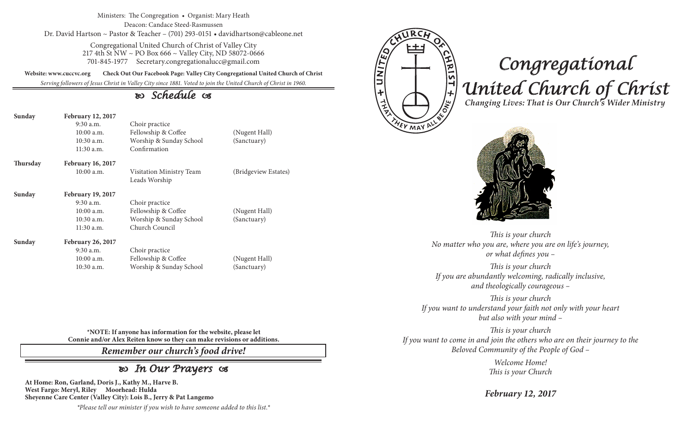Ministers: The Congregation • Organist: Mary Heath Deacon: Candace Steed-Rasmussen Dr. David Hartson ~ Pastor & Teacher – (701) 293-0151 • davidhartson@cableone.net

> Congregational United Church of Christ of Valley City 217 4th St NW ~ PO Box 666 ~ Valley City, ND 58072-0666 701-845-1977 Secretary.congregationalucc@gmail.com

**Website: www.cuccvc.org Check Out Our Facebook Page: Valley City Congregational United Church of Christ**

*Serving followers of Jesus Christ in Valley City since 1881. Voted to join the United Church of Christ in 1960.*

# *Schedule*

| Sunday   | <b>February 12, 2017</b><br>$9:30$ a.m.<br>$10:00$ a.m.<br>$10:30$ a.m.<br>11:30 a.m. | Choir practice<br>Fellowship & Coffee<br>Worship & Sunday School<br>Confirmation | (Nugent Hall)<br>(Sanctuary) |
|----------|---------------------------------------------------------------------------------------|----------------------------------------------------------------------------------|------------------------------|
| Thursday | <b>February 16, 2017</b>                                                              |                                                                                  |                              |
|          | $10:00$ a.m.                                                                          | Visitation Ministry Team<br>Leads Worship                                        | (Bridgeview Estates)         |
| Sunday   | <b>February 19, 2017</b>                                                              |                                                                                  |                              |
|          | $9:30$ a.m.                                                                           | Choir practice                                                                   |                              |
|          | $10:00$ a.m.                                                                          | Fellowship & Coffee                                                              | (Nugent Hall)                |
|          | $10:30$ a.m.                                                                          | Worship & Sunday School                                                          | (Sanctuary)                  |
|          | $11:30$ a.m.                                                                          | Church Council                                                                   |                              |
| Sunday   | <b>February 26, 2017</b>                                                              |                                                                                  |                              |
|          | $9:30$ a.m.                                                                           | Choir practice                                                                   |                              |
|          | $10:00$ a.m.                                                                          | Fellowship & Coffee                                                              | (Nugent Hall)                |
|          | $10:30$ a.m.                                                                          | Worship & Sunday School                                                          | (Sanctuary)                  |



# *Congregational United Church of Christ Changing Lives: That is Our Church's Wider Ministry*



*This is your church No matter who you are, where you are on life's journey, or what defines you –*

*This is your church If you are abundantly welcoming, radically inclusive, and theologically courageous –*

*This is your church If you want to understand your faith not only with your heart but also with your mind –*

*This is your church If you want to come in and join the others who are on their journey to the Beloved Community of the People of God –*

> *Welcome Home! This is your Church*

*February 12, 2017*

**\*NOTE: If anyone has information for the website, please let Connie and/or Alex Reiten know so they can make revisions or additions.**

*Remember our church's food drive!*

# *In Our Prayers*

**At Home: Ron, Garland, Doris J., Kathy M., Harve B. West Fargo: Meryl, Riley Moorhead: Hulda Sheyenne Care Center (Valley City): Lois B., Jerry & Pat Langemo**

*\*Please tell our minister if you wish to have someone added to this list.\**